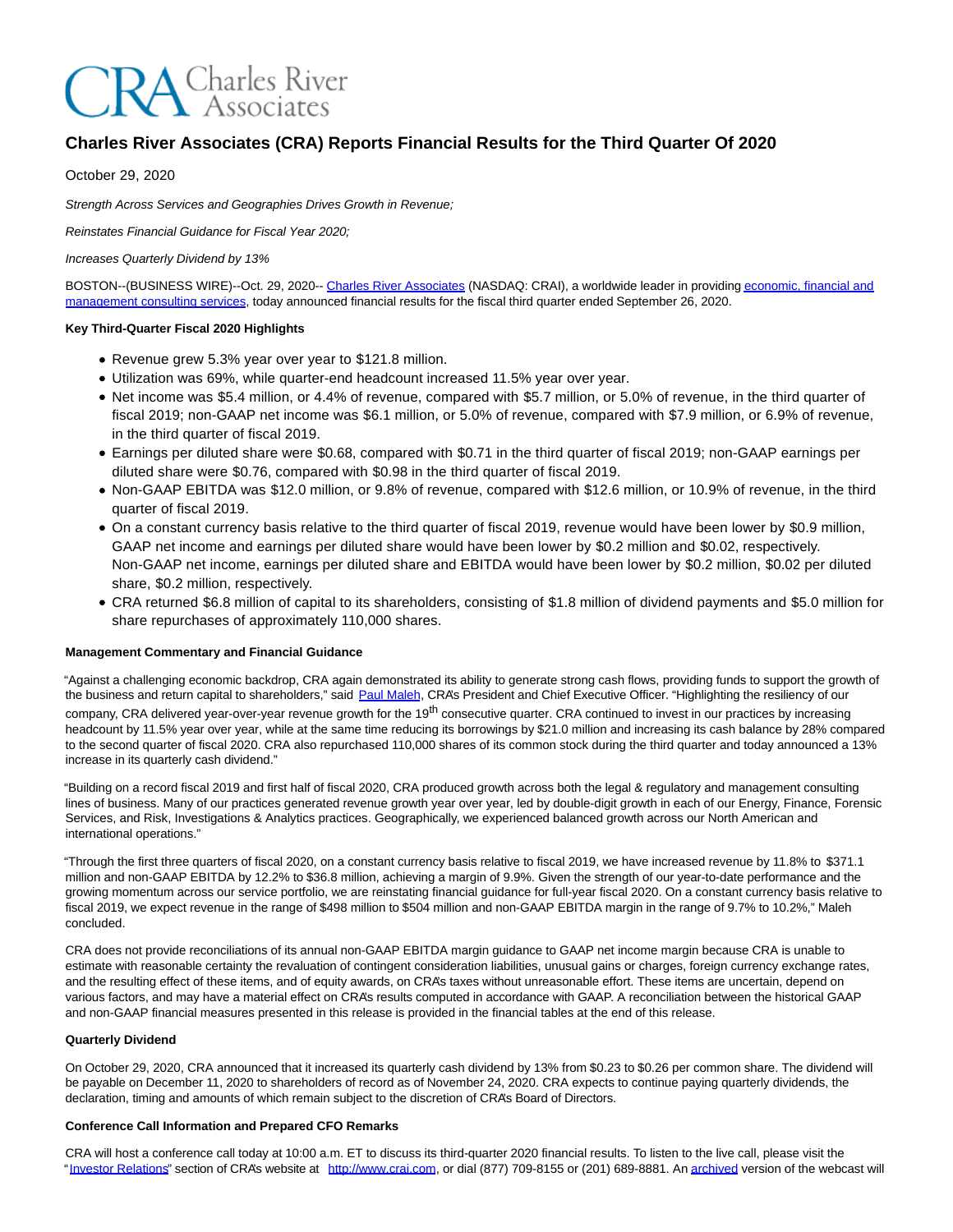# **CRA** Charles River

## **Charles River Associates (CRA) Reports Financial Results for the Third Quarter Of 2020**

October 29, 2020

Strength Across Services and Geographies Drives Growth in Revenue;

Reinstates Financial Guidance for Fiscal Year 2020;

Increases Quarterly Dividend by 13%

BOSTON--(BUSINESS WIRE)--Oct. 29, 2020-- [Charles River Associates \(](https://cts.businesswire.com/ct/CT?id=smartlink&url=http%3A%2F%2Fwww.crai.com%2FDefault.aspx&esheet=52316345&newsitemid=20201029005649&lan=en-US&anchor=Charles+River+Associates&index=1&md5=98d400ffbfcddae1c24fbded4820e190)NASDAQ: CRAI), a worldwide leader in providin[g economic, financial and](https://cts.businesswire.com/ct/CT?id=smartlink&url=http%3A%2F%2Fwww.crai.com%2F&esheet=52316345&newsitemid=20201029005649&lan=en-US&anchor=economic%2C+financial+and+management+consulting+services&index=2&md5=0ef70a0c1e8971c351aac0299273f642) management consulting services, today announced financial results for the fiscal third quarter ended September 26, 2020.

#### **Key Third-Quarter Fiscal 2020 Highlights**

- Revenue grew 5.3% year over year to \$121.8 million.
- Utilization was 69%, while quarter-end headcount increased 11.5% year over year.
- Net income was \$5.4 million, or 4.4% of revenue, compared with \$5.7 million, or 5.0% of revenue, in the third quarter of fiscal 2019; non-GAAP net income was \$6.1 million, or 5.0% of revenue, compared with \$7.9 million, or 6.9% of revenue, in the third quarter of fiscal 2019.
- Earnings per diluted share were \$0.68, compared with \$0.71 in the third quarter of fiscal 2019; non-GAAP earnings per diluted share were \$0.76, compared with \$0.98 in the third quarter of fiscal 2019.
- Non-GAAP EBITDA was \$12.0 million, or 9.8% of revenue, compared with \$12.6 million, or 10.9% of revenue, in the third quarter of fiscal 2019.
- On a constant currency basis relative to the third quarter of fiscal 2019, revenue would have been lower by \$0.9 million, GAAP net income and earnings per diluted share would have been lower by \$0.2 million and \$0.02, respectively. Non-GAAP net income, earnings per diluted share and EBITDA would have been lower by \$0.2 million, \$0.02 per diluted share, \$0.2 million, respectively.
- CRA returned \$6.8 million of capital to its shareholders, consisting of \$1.8 million of dividend payments and \$5.0 million for share repurchases of approximately 110,000 shares.

#### **Management Commentary and Financial Guidance**

"Against a challenging economic backdrop, CRA again demonstrated its ability to generate strong cash flows, providing funds to support the growth of the business and return capital to shareholders," said [Paul Maleh,](https://cts.businesswire.com/ct/CT?id=smartlink&url=http%3A%2F%2Fwww.crai.com%2Fexpert%2Fpaul-maleh&esheet=52316345&newsitemid=20201029005649&lan=en-US&anchor=Paul+Maleh&index=3&md5=473964b6f76db3a24893ca0bea467f70) CRA's President and Chief Executive Officer. "Highlighting the resiliency of our company, CRA delivered year-over-year revenue growth for the 19<sup>th</sup> consecutive quarter. CRA continued to invest in our practices by increasing headcount by 11.5% year over year, while at the same time reducing its borrowings by \$21.0 million and increasing its cash balance by 28% compared to the second quarter of fiscal 2020. CRA also repurchased 110,000 shares of its common stock during the third quarter and today announced a 13% increase in its quarterly cash dividend."

"Building on a record fiscal 2019 and first half of fiscal 2020, CRA produced growth across both the legal & regulatory and management consulting lines of business. Many of our practices generated revenue growth year over year, led by double-digit growth in each of our Energy, Finance, Forensic Services, and Risk, Investigations & Analytics practices. Geographically, we experienced balanced growth across our North American and international operations."

"Through the first three quarters of fiscal 2020, on a constant currency basis relative to fiscal 2019, we have increased revenue by 11.8% to \$371.1 million and non-GAAP EBITDA by 12.2% to \$36.8 million, achieving a margin of 9.9%. Given the strength of our year-to-date performance and the growing momentum across our service portfolio, we are reinstating financial guidance for full-year fiscal 2020. On a constant currency basis relative to fiscal 2019, we expect revenue in the range of \$498 million to \$504 million and non-GAAP EBITDA margin in the range of 9.7% to 10.2%," Maleh concluded.

CRA does not provide reconciliations of its annual non-GAAP EBITDA margin guidance to GAAP net income margin because CRA is unable to estimate with reasonable certainty the revaluation of contingent consideration liabilities, unusual gains or charges, foreign currency exchange rates, and the resulting effect of these items, and of equity awards, on CRA's taxes without unreasonable effort. These items are uncertain, depend on various factors, and may have a material effect on CRA's results computed in accordance with GAAP. A reconciliation between the historical GAAP and non-GAAP financial measures presented in this release is provided in the financial tables at the end of this release.

#### **Quarterly Dividend**

On October 29, 2020, CRA announced that it increased its quarterly cash dividend by 13% from \$0.23 to \$0.26 per common share. The dividend will be payable on December 11, 2020 to shareholders of record as of November 24, 2020. CRA expects to continue paying quarterly dividends, the declaration, timing and amounts of which remain subject to the discretion of CRA's Board of Directors.

#### **Conference Call Information and Prepared CFO Remarks**

CRA will host a conference call today at 10:00 a.m. ET to discuss its third-quarter 2020 financial results. To listen to the live call, please visit the ["Investor Relations"](https://cts.businesswire.com/ct/CT?id=smartlink&url=https%3A%2F%2Fcrainternationalinc.gcs-web.com%2Finvestor-overview&esheet=52316345&newsitemid=20201029005649&lan=en-US&anchor=Investor+Relations&index=4&md5=46a1186f0da9ef59e9bbcf5b9bcf4a5c) section of CRA's website at [http://www.crai.com,](https://cts.businesswire.com/ct/CT?id=smartlink&url=http%3A%2F%2Fwww.crai.com%2FDefault.aspx&esheet=52316345&newsitemid=20201029005649&lan=en-US&anchor=http%3A%2F%2Fwww.crai.com&index=5&md5=0c3608e89e335ed6524c4c11195f0949) or dial (877) 709-8155 or (201) 689-8881. A[n archived v](https://cts.businesswire.com/ct/CT?id=smartlink&url=https%3A%2F%2Fcrainternationalinc.gcs-web.com%2Fevents-and-presentations%2Fpast-event&esheet=52316345&newsitemid=20201029005649&lan=en-US&anchor=archived&index=6&md5=51339f2bd7abe31179827f248a591c03)ersion of the webcast will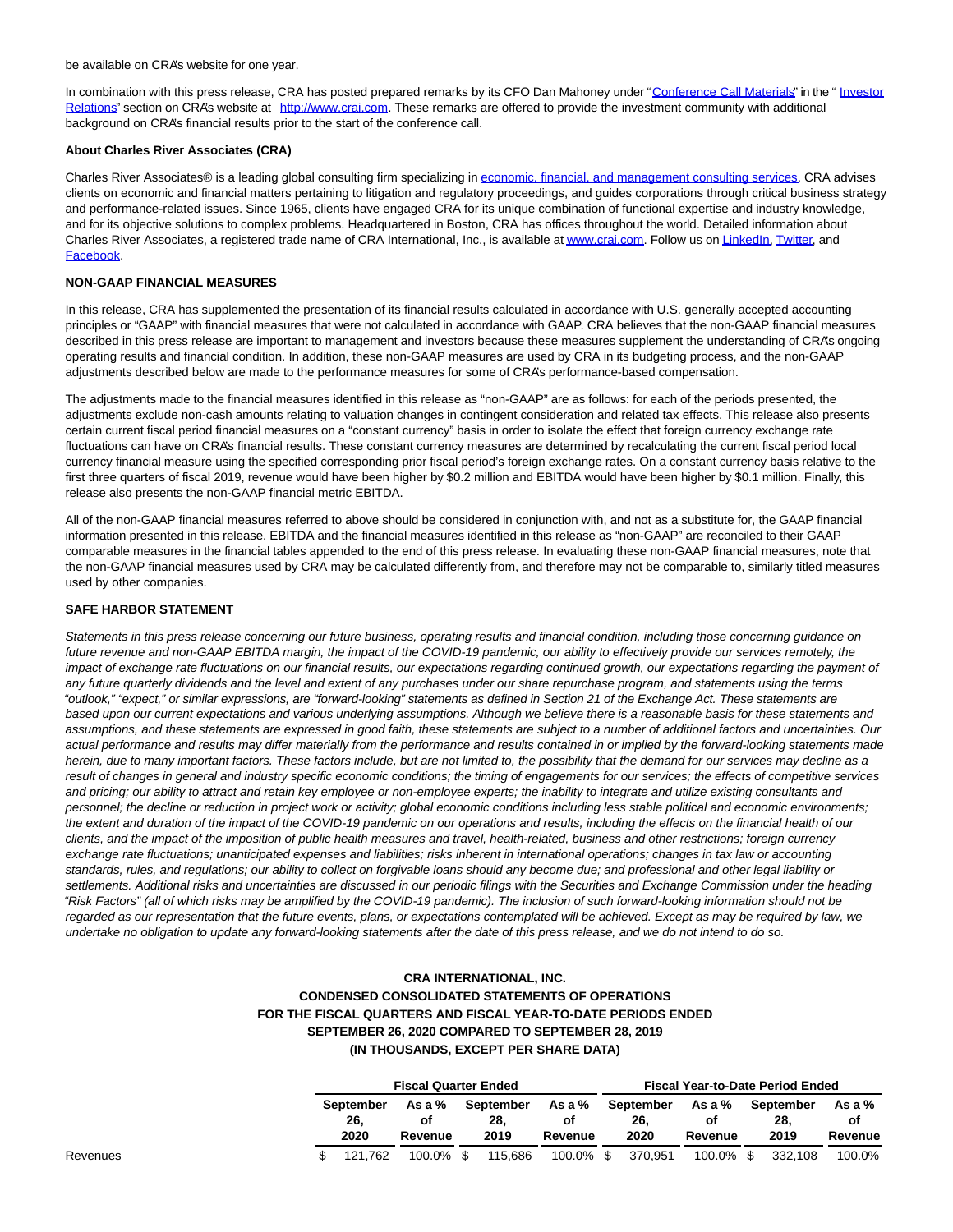be available on CRA's website for one year.

In combination with this press release, CRA has posted prepared remarks by its CFO Dan Mahoney under ["Conference Call Materials"](https://cts.businesswire.com/ct/CT?id=smartlink&url=https%3A%2F%2Fcrainternationalinc.gcs-web.com%2Ffinancial-information%2Fquarterly-results&esheet=52316345&newsitemid=20201029005649&lan=en-US&anchor=Conference+Call+Materials&index=7&md5=d7955efbc2ac2448eb794d8a48025338) in the " [Investor](https://cts.businesswire.com/ct/CT?id=smartlink&url=https%3A%2F%2Fcrainternationalinc.gcs-web.com%2Finvestor-overview&esheet=52316345&newsitemid=20201029005649&lan=en-US&anchor=Investor+Relations&index=8&md5=3d15badba0324c425c0c0e98550eac57) Relations" section on CRA's website at [http://www.crai.com.](https://cts.businesswire.com/ct/CT?id=smartlink&url=http%3A%2F%2Fwww.crai.com%2FDefault.aspx&esheet=52316345&newsitemid=20201029005649&lan=en-US&anchor=http%3A%2F%2Fwww.crai.com&index=9&md5=53a71b759145507a9851134c2c53757f) These remarks are offered to provide the investment community with additional background on CRA's financial results prior to the start of the conference call.

#### **About Charles River Associates (CRA)**

Charles River Associates® is a leading global consulting firm specializing i[n economic, financial, and management consulting services.](https://cts.businesswire.com/ct/CT?id=smartlink&url=http%3A%2F%2Fwww.crai.com%2F&esheet=52316345&newsitemid=20201029005649&lan=en-US&anchor=economic%2C+financial%2C+and+management+consulting+services&index=10&md5=ec0a141357188332386595a2677ab655) CRA advises clients on economic and financial matters pertaining to litigation and regulatory proceedings, and guides corporations through critical business strategy and performance-related issues. Since 1965, clients have engaged CRA for its unique combination of functional expertise and industry knowledge, and for its objective solutions to complex problems. Headquartered in Boston, CRA has offices throughout the world. Detailed information about Charles River Associates, a registered trade name of CRA International, Inc., is available a[t www.crai.com.](https://cts.businesswire.com/ct/CT?id=smartlink&url=http%3A%2F%2Fwww.crai.com&esheet=52316345&newsitemid=20201029005649&lan=en-US&anchor=www.crai.com&index=11&md5=35a7a82c7a96499f19f29a64f99e3aaa) Follow us o[n LinkedIn,](https://cts.businesswire.com/ct/CT?id=smartlink&url=https%3A%2F%2Fwww.linkedin.com%2Fcompany%2Fcharles-river-associates&esheet=52316345&newsitemid=20201029005649&lan=en-US&anchor=LinkedIn&index=12&md5=4fb5fabd280c07b6cbad869d7c695268) [Twitter,](https://cts.businesswire.com/ct/CT?id=smartlink&url=https%3A%2F%2Ftwitter.com%2FNews_CRA&esheet=52316345&newsitemid=20201029005649&lan=en-US&anchor=Twitter&index=13&md5=d4ddfc266506e12ee8fdca173632b670) and [Facebook.](https://cts.businesswire.com/ct/CT?id=smartlink&url=https%3A%2F%2Fwww.facebook.com%2FCharlesRiverAssociates&esheet=52316345&newsitemid=20201029005649&lan=en-US&anchor=Facebook&index=14&md5=43ea7ca7ac5540cef22bc98ac1ba3af9)

#### **NON-GAAP FINANCIAL MEASURES**

In this release, CRA has supplemented the presentation of its financial results calculated in accordance with U.S. generally accepted accounting principles or "GAAP" with financial measures that were not calculated in accordance with GAAP. CRA believes that the non-GAAP financial measures described in this press release are important to management and investors because these measures supplement the understanding of CRA's ongoing operating results and financial condition. In addition, these non-GAAP measures are used by CRA in its budgeting process, and the non-GAAP adjustments described below are made to the performance measures for some of CRA's performance-based compensation.

The adjustments made to the financial measures identified in this release as "non-GAAP" are as follows: for each of the periods presented, the adjustments exclude non-cash amounts relating to valuation changes in contingent consideration and related tax effects. This release also presents certain current fiscal period financial measures on a "constant currency" basis in order to isolate the effect that foreign currency exchange rate fluctuations can have on CRA's financial results. These constant currency measures are determined by recalculating the current fiscal period local currency financial measure using the specified corresponding prior fiscal period's foreign exchange rates. On a constant currency basis relative to the first three quarters of fiscal 2019, revenue would have been higher by \$0.2 million and EBITDA would have been higher by \$0.1 million. Finally, this release also presents the non-GAAP financial metric EBITDA.

All of the non-GAAP financial measures referred to above should be considered in conjunction with, and not as a substitute for, the GAAP financial information presented in this release. EBITDA and the financial measures identified in this release as "non-GAAP" are reconciled to their GAAP comparable measures in the financial tables appended to the end of this press release. In evaluating these non-GAAP financial measures, note that the non-GAAP financial measures used by CRA may be calculated differently from, and therefore may not be comparable to, similarly titled measures used by other companies.

#### **SAFE HARBOR STATEMENT**

Statements in this press release concerning our future business, operating results and financial condition, including those concerning guidance on future revenue and non-GAAP EBITDA margin, the impact of the COVID-19 pandemic, our ability to effectively provide our services remotely, the impact of exchange rate fluctuations on our financial results, our expectations regarding continued growth, our expectations regarding the payment of any future quarterly dividends and the level and extent of any purchases under our share repurchase program, and statements using the terms "outlook," "expect," or similar expressions, are "forward-looking" statements as defined in Section 21 of the Exchange Act. These statements are based upon our current expectations and various underlying assumptions. Although we believe there is a reasonable basis for these statements and assumptions, and these statements are expressed in good faith, these statements are subject to a number of additional factors and uncertainties. Our actual performance and results may differ materially from the performance and results contained in or implied by the forward-looking statements made herein, due to many important factors. These factors include, but are not limited to, the possibility that the demand for our services may decline as a result of changes in general and industry specific economic conditions; the timing of engagements for our services; the effects of competitive services and pricing; our ability to attract and retain key employee or non-employee experts; the inability to integrate and utilize existing consultants and personnel; the decline or reduction in project work or activity; global economic conditions including less stable political and economic environments; the extent and duration of the impact of the COVID-19 pandemic on our operations and results, including the effects on the financial health of our clients, and the impact of the imposition of public health measures and travel, health-related, business and other restrictions; foreign currency exchange rate fluctuations; unanticipated expenses and liabilities; risks inherent in international operations; changes in tax law or accounting standards, rules, and regulations; our ability to collect on forgivable loans should any become due; and professional and other legal liability or settlements. Additional risks and uncertainties are discussed in our periodic filings with the Securities and Exchange Commission under the heading "Risk Factors" (all of which risks may be amplified by the COVID-19 pandemic). The inclusion of such forward-looking information should not be regarded as our representation that the future events, plans, or expectations contemplated will be achieved. Except as may be required by law, we undertake no obligation to update any forward-looking statements after the date of this press release, and we do not intend to do so.

## **CRA INTERNATIONAL, INC. CONDENSED CONSOLIDATED STATEMENTS OF OPERATIONS FOR THE FISCAL QUARTERS AND FISCAL YEAR-TO-DATE PERIODS ENDED SEPTEMBER 26, 2020 COMPARED TO SEPTEMBER 28, 2019 (IN THOUSANDS, EXCEPT PER SHARE DATA)**

|          |                          | <b>Fiscal Quarter Ended</b> |                          |                        | <b>Fiscal Year-to-Date Period Ended</b> |                       |  |                          |                         |  |  |
|----------|--------------------------|-----------------------------|--------------------------|------------------------|-----------------------------------------|-----------------------|--|--------------------------|-------------------------|--|--|
|          | September<br>26.<br>2020 | As a %<br>Οt<br>Revenue     | September<br>28.<br>2019 | Asa%<br>ot.<br>Revenue | September<br>26.<br>2020                | Asa%<br>Οt<br>Revenue |  | September<br>28.<br>2019 | As a %<br>οt<br>Revenue |  |  |
| Revenues | 121.762                  | 100.0% \$                   | 115.686                  | 100.0% \$              | 370,951                                 | 100.0% \$             |  | 332.108                  | 100.0%                  |  |  |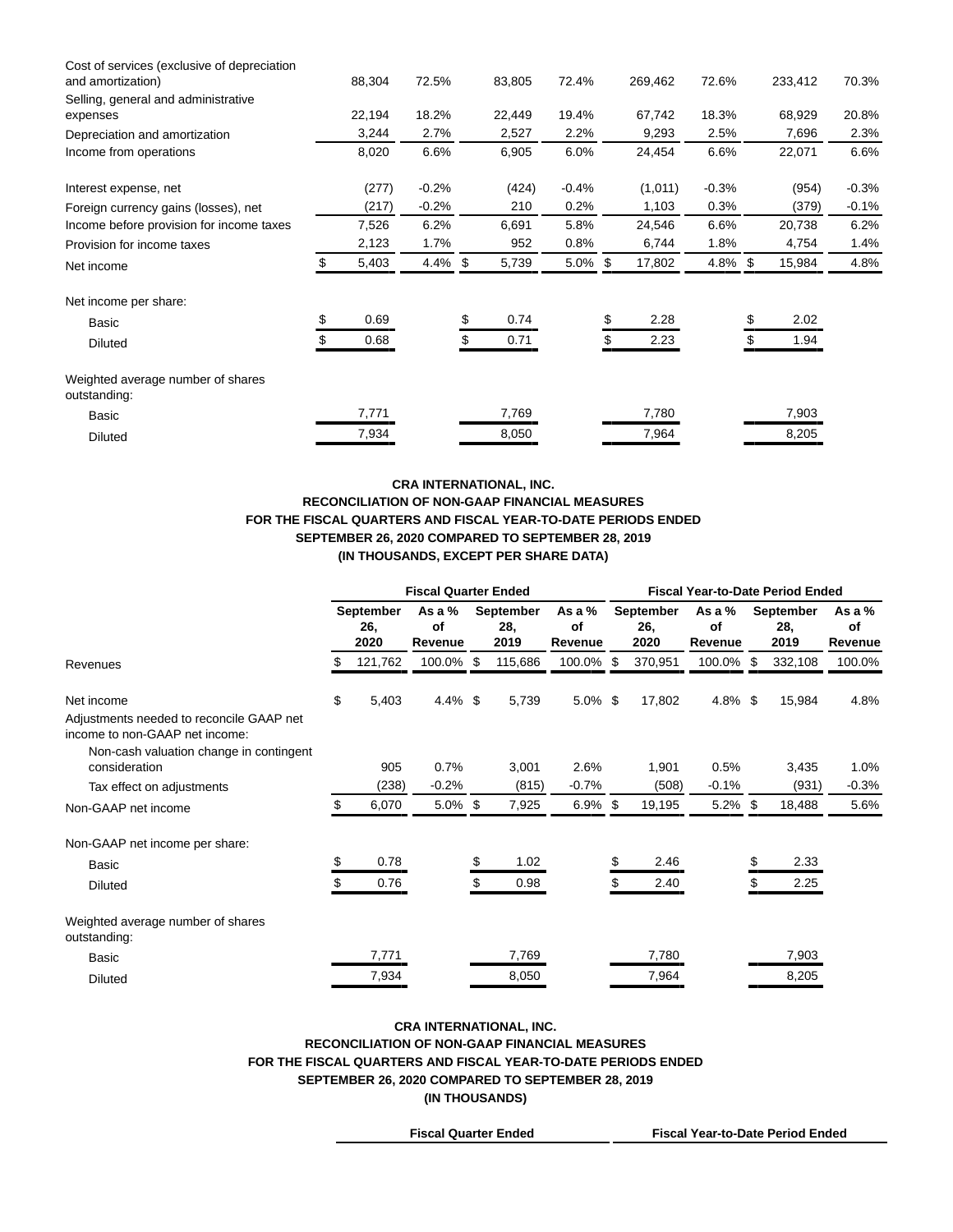| Cost of services (exclusive of depreciation<br>and amortization) | 88,304 | 72.5%   | 83,805 | 72.4%      | 269,462 | 72.6%      | 233,412 | 70.3%   |
|------------------------------------------------------------------|--------|---------|--------|------------|---------|------------|---------|---------|
| Selling, general and administrative                              |        |         |        |            |         |            |         |         |
| expenses                                                         | 22,194 | 18.2%   | 22,449 | 19.4%      | 67,742  | 18.3%      | 68,929  | 20.8%   |
| Depreciation and amortization                                    | 3,244  | 2.7%    | 2,527  | 2.2%       | 9,293   | 2.5%       | 7,696   | 2.3%    |
| Income from operations                                           | 8,020  | 6.6%    | 6,905  | 6.0%       | 24,454  | 6.6%       | 22,071  | 6.6%    |
| Interest expense, net                                            | (277)  | $-0.2%$ | (424)  | $-0.4%$    | (1,011) | $-0.3%$    | (954)   | $-0.3%$ |
| Foreign currency gains (losses), net                             | (217)  | $-0.2%$ | 210    | 0.2%       | 1,103   | 0.3%       | (379)   | $-0.1%$ |
| Income before provision for income taxes                         | 7,526  | 6.2%    | 6,691  | 5.8%       | 24,546  | 6.6%       | 20,738  | 6.2%    |
| Provision for income taxes                                       | 2,123  | 1.7%    | 952    | 0.8%       | 6,744   | 1.8%       | 4,754   | 1.4%    |
| Net income                                                       | 5,403  | 4.4% \$ | 5,739  | $5.0\%$ \$ | 17,802  | $4.8\%$ \$ | 15,984  | 4.8%    |
| Net income per share:                                            |        |         |        |            |         |            |         |         |
| Basic                                                            | 0.69   |         | 0.74   |            | 2.28    |            | 2.02    |         |
| <b>Diluted</b>                                                   | 0.68   |         | 0.71   |            | 2.23    |            | 1.94    |         |
| Weighted average number of shares<br>outstanding:                |        |         |        |            |         |            |         |         |
| Basic                                                            | 7,771  |         | 7,769  |            | 7,780   |            | 7,903   |         |
| <b>Diluted</b>                                                   | 7,934  |         | 8,050  |            | 7,964   |            | 8,205   |         |

## **CRA INTERNATIONAL, INC. RECONCILIATION OF NON-GAAP FINANCIAL MEASURES FOR THE FISCAL QUARTERS AND FISCAL YEAR-TO-DATE PERIODS ENDED SEPTEMBER 26, 2020 COMPARED TO SEPTEMBER 28, 2019 (IN THOUSANDS, EXCEPT PER SHARE DATA)**

|                                                          | <b>Fiscal Quarter Ended</b> |                          |                                  |  |                          | <b>Fiscal Year-to-Date Period Ended</b> |   |                          |                           |    |                          |                           |  |
|----------------------------------------------------------|-----------------------------|--------------------------|----------------------------------|--|--------------------------|-----------------------------------------|---|--------------------------|---------------------------|----|--------------------------|---------------------------|--|
|                                                          |                             | September<br>26,<br>2020 | As a $%$<br>οf<br><b>Revenue</b> |  | September<br>28,<br>2019 | As a $%$<br>οf<br>Revenue               |   | September<br>26,<br>2020 | As a $%$<br>of<br>Revenue |    | September<br>28,<br>2019 | As a $%$<br>of<br>Revenue |  |
| Revenues                                                 | S                           | 121,762                  | 100.0% \$                        |  | 115,686                  | 100.0% \$                               |   | 370,951                  | 100.0%                    | \$ | 332,108                  | 100.0%                    |  |
| Net income<br>Adjustments needed to reconcile GAAP net   | \$                          | 5,403                    | $4.4\%$ \$                       |  | 5,739                    | $5.0\%$ \$                              |   | 17,802                   | $4.8\%$ \$                |    | 15,984                   | 4.8%                      |  |
| income to non-GAAP net income:                           |                             |                          |                                  |  |                          |                                         |   |                          |                           |    |                          |                           |  |
| Non-cash valuation change in contingent<br>consideration |                             | 905                      | 0.7%                             |  | 3,001                    | 2.6%                                    |   | 1,901                    | 0.5%                      |    | 3,435                    | 1.0%                      |  |
| Tax effect on adjustments                                |                             | (238)                    | $-0.2%$                          |  | (815)                    | $-0.7%$                                 |   | (508)                    | $-0.1%$                   |    | (931)                    | $-0.3%$                   |  |
| Non-GAAP net income                                      | \$                          | 6,070                    | $5.0\%$ \$                       |  | 7,925                    | $6.9\%$ \$                              |   | 19,195                   | $5.2\%$ \$                |    | 18,488                   | 5.6%                      |  |
| Non-GAAP net income per share:                           |                             |                          |                                  |  |                          |                                         |   |                          |                           |    |                          |                           |  |
| Basic                                                    | S                           | 0.78                     |                                  |  | 1.02                     |                                         | S | 2.46                     |                           |    | 2.33                     |                           |  |
| <b>Diluted</b>                                           | S                           | 0.76                     |                                  |  | 0.98                     |                                         |   | 2.40                     |                           |    | 2.25                     |                           |  |
| Weighted average number of shares<br>outstanding:        |                             |                          |                                  |  |                          |                                         |   |                          |                           |    |                          |                           |  |
| Basic                                                    |                             | 7,771                    |                                  |  | 7,769                    |                                         |   | 7,780                    |                           |    | 7,903                    |                           |  |
| <b>Diluted</b>                                           |                             | 7,934                    |                                  |  | 8,050                    |                                         |   | 7,964                    |                           |    | 8,205                    |                           |  |

### **CRA INTERNATIONAL, INC. RECONCILIATION OF NON-GAAP FINANCIAL MEASURES FOR THE FISCAL QUARTERS AND FISCAL YEAR-TO-DATE PERIODS ENDED SEPTEMBER 26, 2020 COMPARED TO SEPTEMBER 28, 2019 (IN THOUSANDS)**

**Fiscal Quarter Ended Fiscal Year-to-Date Period Ended**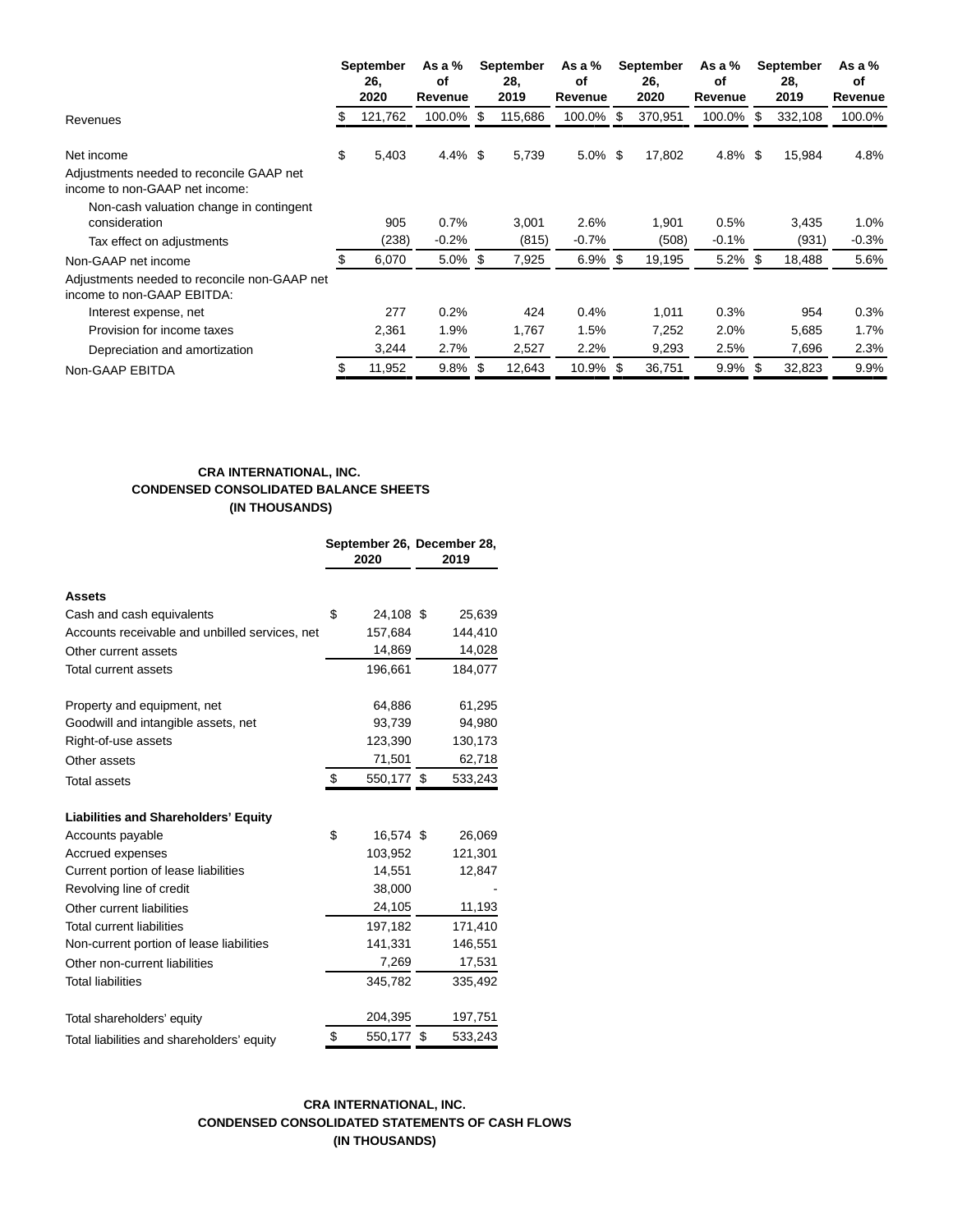|                                                                            |    | <b>September</b><br>26.<br>2020 | As a %<br>οf<br>Revenue | September<br>28,<br>2019 |         | As a $%$<br>оf<br>Revenue |  | September<br>26.<br>2020 | As a %<br>οf<br>Revenue |    | <b>September</b><br>28,<br>2019 | As a %<br>οf<br>Revenue |
|----------------------------------------------------------------------------|----|---------------------------------|-------------------------|--------------------------|---------|---------------------------|--|--------------------------|-------------------------|----|---------------------------------|-------------------------|
| Revenues                                                                   |    | 121,762                         | 100.0% \$               |                          | 115,686 | 100.0% \$                 |  | 370,951                  | 100.0%                  | \$ | 332,108                         | 100.0%                  |
| Net income                                                                 | \$ | 5,403                           | $4.4\%$ \$              |                          | 5,739   | $5.0\%$ \$                |  | 17,802                   | 4.8%                    | S  | 15,984                          | 4.8%                    |
| Adjustments needed to reconcile GAAP net<br>income to non-GAAP net income: |    |                                 |                         |                          |         |                           |  |                          |                         |    |                                 |                         |
| Non-cash valuation change in contingent<br>consideration                   |    | 905                             | 0.7%                    |                          | 3,001   | 2.6%                      |  | 1,901                    | 0.5%                    |    | 3,435                           | $1.0\%$                 |
| Tax effect on adjustments                                                  |    | (238)                           | $-0.2%$                 |                          | (815)   | $-0.7%$                   |  | (508)                    | $-0.1%$                 |    | (931)                           | $-0.3%$                 |
| Non-GAAP net income                                                        |    | 6,070                           | $5.0\%$ \$              |                          | 7,925   | $6.9\%$ \$                |  | 19,195                   | $5.2\%$ \$              |    | 18,488                          | 5.6%                    |
| Adjustments needed to reconcile non-GAAP net<br>income to non-GAAP EBITDA: |    |                                 |                         |                          |         |                           |  |                          |                         |    |                                 |                         |
| Interest expense, net                                                      |    | 277                             | 0.2%                    |                          | 424     | 0.4%                      |  | 1,011                    | 0.3%                    |    | 954                             | 0.3%                    |
| Provision for income taxes                                                 |    | 2,361                           | 1.9%                    |                          | 1,767   | 1.5%                      |  | 7,252                    | 2.0%                    |    | 5,685                           | $1.7\%$                 |
| Depreciation and amortization                                              |    | 3,244                           | 2.7%                    |                          | 2,527   | 2.2%                      |  | 9,293                    | 2.5%                    |    | 7,696                           | 2.3%                    |
| Non-GAAP EBITDA                                                            |    | 11.952                          | $9.8\%$                 | S                        | 12,643  | $10.9\%$ \$               |  | 36.751                   | 9.9%                    | \$ | 32,823                          | 9.9%                    |

## **CRA INTERNATIONAL, INC. CONDENSED CONSOLIDATED BALANCE SHEETS (IN THOUSANDS)**

|                                                | September 26, December 28,<br>2020 | 2019          |
|------------------------------------------------|------------------------------------|---------------|
| <b>Assets</b>                                  |                                    |               |
| Cash and cash equivalents                      | \$<br>24,108 \$                    | 25,639        |
| Accounts receivable and unbilled services, net | 157,684                            | 144,410       |
| Other current assets                           | 14,869                             | 14,028        |
| <b>Total current assets</b>                    | 196,661                            | 184,077       |
| Property and equipment, net                    | 64,886                             | 61,295        |
| Goodwill and intangible assets, net            | 93,739                             | 94,980        |
| Right-of-use assets                            | 123,390                            | 130,173       |
| Other assets                                   | 71,501                             | 62,718        |
| <b>Total assets</b>                            | \$<br>550,177 \$                   | 533,243       |
| <b>Liabilities and Shareholders' Equity</b>    |                                    |               |
| Accounts payable                               | \$<br>16,574 \$                    | 26,069        |
| Accrued expenses                               | 103,952                            | 121,301       |
| Current portion of lease liabilities           | 14,551                             | 12,847        |
| Revolving line of credit                       | 38,000                             |               |
| Other current liabilities                      | 24,105                             | 11,193        |
| <b>Total current liabilities</b>               | 197,182                            | 171,410       |
| Non-current portion of lease liabilities       | 141,331                            | 146,551       |
| Other non-current liabilities                  | 7,269                              | 17,531        |
| <b>Total liabilities</b>                       | 345,782                            | 335,492       |
| Total shareholders' equity                     | 204,395                            | 197,751       |
| Total liabilities and shareholders' equity     | \$<br>550,177                      | \$<br>533,243 |

## **CRA INTERNATIONAL, INC. CONDENSED CONSOLIDATED STATEMENTS OF CASH FLOWS (IN THOUSANDS)**